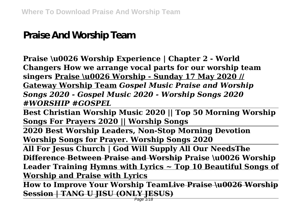## **Praise And Worship Team**

**Praise \u0026 Worship Experience | Chapter 2 - World Changers How we arrange vocal parts for our worship team singers Praise \u0026 Worship - Sunday 17 May 2020 // Gateway Worship Team** *Gospel Music Praise and Worship Songs 2020 - Gospel Music 2020 - Worship Songs 2020 #WORSHIP #GOSPEL*

**Best Christian Worship Music 2020 || Top 50 Morning Worship Songs For Prayers 2020 || Worship Songs**

**2020 Best Worship Leaders, Non-Stop Morning Devotion Worship Songs for Prayer. Worship Songs 2020**

**All For Jesus Church | God Will Supply All Our NeedsThe Difference Between Praise and Worship Praise \u0026 Worship Leader Training Hymns with Lyrics ~ Top 10 Beautiful Songs of Worship and Praise with Lyrics**

**How to Improve Your Worship TeamLive Praise \u0026 Worship Session | TANG U JISU (ONLY JESUS)**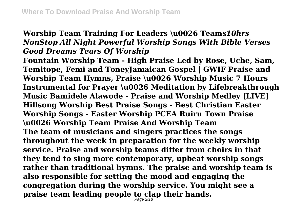## **Worship Team Training For Leaders \u0026 Teams***10hrs NonStop All Night Powerful Worship Songs With Bible Verses Good Dreams Tears Of Worship*

**Fountain Worship Team - High Praise Led by Rose, Uche, Sam, Temitope, Femi and ToneyJamaican Gospel | GWIF Praise and Worship Team Hymns, Praise \u0026 Worship Music 7 Hours Instrumental for Prayer \u0026 Meditation by Lifebreakthrough Music Bamidele Alawode - Praise and Worship Medley [LIVE] Hillsong Worship Best Praise Songs - Best Christian Easter Worship Songs - Easter Worship PCEA Ruiru Town Praise \u0026 Worship Team Praise And Worship Team The team of musicians and singers practices the songs throughout the week in preparation for the weekly worship service. Praise and worship teams differ from choirs in that they tend to sing more contemporary, upbeat worship songs rather than traditional hymns. The praise and worship team is also responsible for setting the mood and engaging the congregation during the worship service. You might see a praise team leading people to clap their hands.** Page 2/18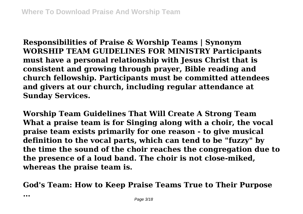**Responsibilities of Praise & Worship Teams | Synonym WORSHIP TEAM GUIDELINES FOR MINISTRY Participants must have a personal relationship with Jesus Christ that is consistent and growing through prayer, Bible reading and church fellowship. Participants must be committed attendees and givers at our church, including regular attendance at Sunday Services.**

**Worship Team Guidelines That Will Create A Strong Team What a praise team is for Singing along with a choir, the vocal praise team exists primarily for one reason - to give musical definition to the vocal parts, which can tend to be "fuzzy" by the time the sound of the choir reaches the congregation due to the presence of a loud band. The choir is not close-miked, whereas the praise team is.**

**God's Team: How to Keep Praise Teams True to Their Purpose**

**...**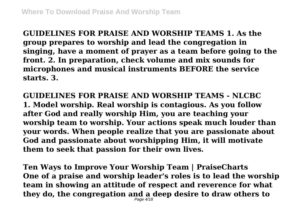**GUIDELINES FOR PRAISE AND WORSHIP TEAMS 1. As the group prepares to worship and lead the congregation in singing, have a moment of prayer as a team before going to the front. 2. In preparation, check volume and mix sounds for microphones and musical instruments BEFORE the service starts. 3.**

**GUIDELINES FOR PRAISE AND WORSHIP TEAMS - NLCBC 1. Model worship. Real worship is contagious. As you follow after God and really worship Him, you are teaching your worship team to worship. Your actions speak much louder than your words. When people realize that you are passionate about God and passionate about worshipping Him, it will motivate them to seek that passion for their own lives.**

**Ten Ways to Improve Your Worship Team | PraiseCharts One of a praise and worship leader's roles is to lead the worship team in showing an attitude of respect and reverence for what they do, the congregation and a deep desire to draw others to** Page 4/18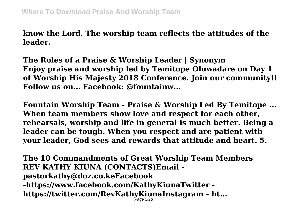**know the Lord. The worship team reflects the attitudes of the leader.**

**The Roles of a Praise & Worship Leader | Synonym Enjoy praise and worship led by Temitope Oluwadare on Day 1 of Worship His Majesty 2018 Conference. Join our community!! Follow us on... Facebook: @fountainw...**

**Fountain Worship Team - Praise & Worship Led By Temitope ... When team members show love and respect for each other, rehearsals, worship and life in general is much better. Being a leader can be tough. When you respect and are patient with your leader, God sees and rewards that attitude and heart. 5.**

**The 10 Commandments of Great Worship Team Members REV KATHY KIUNA (CONTACTS)Email pastorkathy@doz.co.keFacebook -https://www.facebook.com/KathyKiunaTwitter https://twitter.com/RevKathyKiunaInstagram - ht...** Page 5/18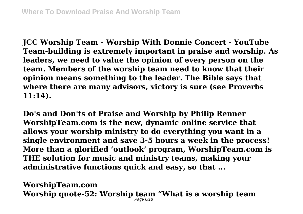**JCC Worship Team - Worship With Donnie Concert - YouTube Team-building is extremely important in praise and worship. As leaders, we need to value the opinion of every person on the team. Members of the worship team need to know that their opinion means something to the leader. The Bible says that where there are many advisors, victory is sure (see Proverbs 11:14).**

**Do's and Don'ts of Praise and Worship by Philip Renner WorshipTeam.com is the new, dynamic online service that allows your worship ministry to do everything you want in a single environment and save 3-5 hours a week in the process! More than a glorified 'outlook' program, WorshipTeam.com is THE solution for music and ministry teams, making your administrative functions quick and easy, so that ...**

**WorshipTeam.com** Worship quote-52: Worship team "What is a worship team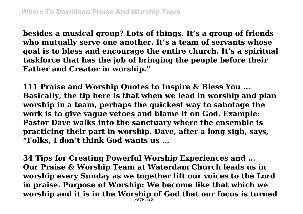**besides a musical group? Lots of things. It's a group of friends who mutually serve one another. It's a team of servants whose goal is to bless and encourage the entire church. It's a spiritual taskforce that has the job of bringing the people before their Father and Creator in worship."**

**111 Praise and Worship Quotes to Inspire & Bless You ... Basically, the tip here is that when we lead in worship and plan worship in a team, perhaps the quickest way to sabotage the work is to give vague vetoes and blame it on God. Example: Pastor Dave walks into the sanctuary where the ensemble is practicing their part in worship. Dave, after a long sigh, says, "Folks, I don't think God wants us ...**

**34 Tips for Creating Powerful Worship Experiences and ... Our Praise & Worship Team at Waterdam Church leads us in worship every Sunday as we together lift our voices to the Lord in praise. Purpose of Worship: We become like that which we worship and it is in the Worship of God that our focus is turned** Page 7718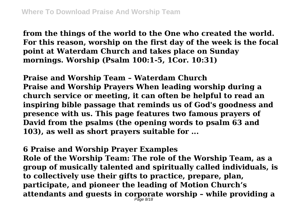**from the things of the world to the One who created the world. For this reason, worship on the first day of the week is the focal point at Waterdam Church and takes place on Sunday mornings. Worship (Psalm 100:1-5, 1Cor. 10:31)**

**Praise and Worship Team – Waterdam Church Praise and Worship Prayers When leading worship during a church service or meeting, it can often be helpful to read an inspiring bible passage that reminds us of God's goodness and presence with us. This page features two famous prayers of David from the psalms (the opening words to psalm 63 and 103), as well as short prayers suitable for ...**

**6 Praise and Worship Prayer Examples**

**Role of the Worship Team: The role of the Worship Team, as a group of musically talented and spiritually called individuals, is to collectively use their gifts to practice, prepare, plan, participate, and pioneer the leading of Motion Church's attendants and guests in corporate worship – while providing a** Page 8/18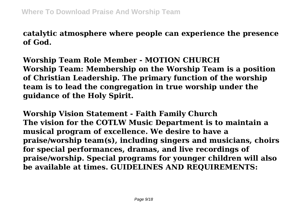**catalytic atmosphere where people can experience the presence of God.**

**Worship Team Role Member - MOTION CHURCH Worship Team: Membership on the Worship Team is a position of Christian Leadership. The primary function of the worship team is to lead the congregation in true worship under the guidance of the Holy Spirit.**

**Worship Vision Statement - Faith Family Church The vision for the COTLW Music Department is to maintain a musical program of excellence. We desire to have a praise/worship team(s), including singers and musicians, choirs for special performances, dramas, and live recordings of praise/worship. Special programs for younger children will also be available at times. GUIDELINES AND REQUIREMENTS:**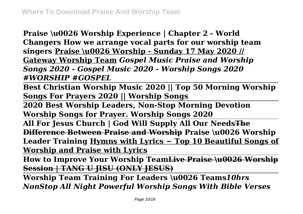**Praise \u0026 Worship Experience | Chapter 2 - World Changers How we arrange vocal parts for our worship team singers Praise \u0026 Worship - Sunday 17 May 2020 // Gateway Worship Team** *Gospel Music Praise and Worship Songs 2020 - Gospel Music 2020 - Worship Songs 2020 #WORSHIP #GOSPEL*

**Best Christian Worship Music 2020 || Top 50 Morning Worship Songs For Prayers 2020 || Worship Songs**

**2020 Best Worship Leaders, Non-Stop Morning Devotion Worship Songs for Prayer. Worship Songs 2020**

**All For Jesus Church | God Will Supply All Our NeedsThe Difference Between Praise and Worship Praise \u0026 Worship Leader Training Hymns with Lyrics ~ Top 10 Beautiful Songs of Worship and Praise with Lyrics**

**How to Improve Your Worship TeamLive Praise \u0026 Worship Session | TANG U JISU (ONLY JESUS)**

**Worship Team Training For Leaders \u0026 Teams***10hrs NonStop All Night Powerful Worship Songs With Bible Verses*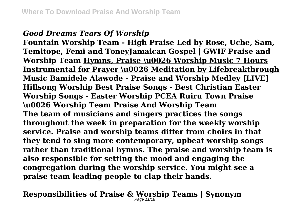## *Good Dreams Tears Of Worship*

**Fountain Worship Team - High Praise Led by Rose, Uche, Sam, Temitope, Femi and ToneyJamaican Gospel | GWIF Praise and Worship Team Hymns, Praise \u0026 Worship Music 7 Hours Instrumental for Prayer \u0026 Meditation by Lifebreakthrough Music Bamidele Alawode - Praise and Worship Medley [LIVE] Hillsong Worship Best Praise Songs - Best Christian Easter Worship Songs - Easter Worship PCEA Ruiru Town Praise \u0026 Worship Team Praise And Worship Team The team of musicians and singers practices the songs throughout the week in preparation for the weekly worship service. Praise and worship teams differ from choirs in that they tend to sing more contemporary, upbeat worship songs rather than traditional hymns. The praise and worship team is also responsible for setting the mood and engaging the congregation during the worship service. You might see a praise team leading people to clap their hands.**

**Responsibilities of Praise & Worship Teams | Synonym**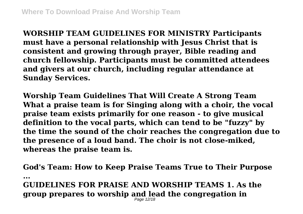**WORSHIP TEAM GUIDELINES FOR MINISTRY Participants must have a personal relationship with Jesus Christ that is consistent and growing through prayer, Bible reading and church fellowship. Participants must be committed attendees and givers at our church, including regular attendance at Sunday Services.**

**Worship Team Guidelines That Will Create A Strong Team What a praise team is for Singing along with a choir, the vocal praise team exists primarily for one reason - to give musical definition to the vocal parts, which can tend to be "fuzzy" by the time the sound of the choir reaches the congregation due to the presence of a loud band. The choir is not close-miked, whereas the praise team is.**

**God's Team: How to Keep Praise Teams True to Their Purpose ... GUIDELINES FOR PRAISE AND WORSHIP TEAMS 1. As the group prepares to worship and lead the congregation in** Page 12/18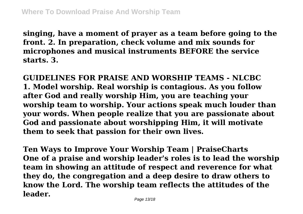**singing, have a moment of prayer as a team before going to the front. 2. In preparation, check volume and mix sounds for microphones and musical instruments BEFORE the service starts. 3.**

**GUIDELINES FOR PRAISE AND WORSHIP TEAMS - NLCBC 1. Model worship. Real worship is contagious. As you follow after God and really worship Him, you are teaching your worship team to worship. Your actions speak much louder than your words. When people realize that you are passionate about God and passionate about worshipping Him, it will motivate them to seek that passion for their own lives.**

**Ten Ways to Improve Your Worship Team | PraiseCharts One of a praise and worship leader's roles is to lead the worship team in showing an attitude of respect and reverence for what they do, the congregation and a deep desire to draw others to know the Lord. The worship team reflects the attitudes of the leader.**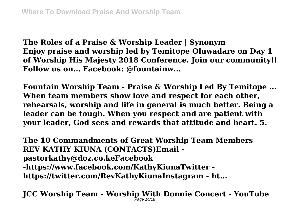**The Roles of a Praise & Worship Leader | Synonym Enjoy praise and worship led by Temitope Oluwadare on Day 1 of Worship His Majesty 2018 Conference. Join our community!! Follow us on... Facebook: @fountainw...**

**Fountain Worship Team - Praise & Worship Led By Temitope ... When team members show love and respect for each other, rehearsals, worship and life in general is much better. Being a leader can be tough. When you respect and are patient with your leader, God sees and rewards that attitude and heart. 5.**

**The 10 Commandments of Great Worship Team Members REV KATHY KIUNA (CONTACTS)Email pastorkathy@doz.co.keFacebook -https://www.facebook.com/KathyKiunaTwitter https://twitter.com/RevKathyKiunaInstagram - ht...**

**JCC Worship Team - Worship With Donnie Concert - YouTube** Page 14/18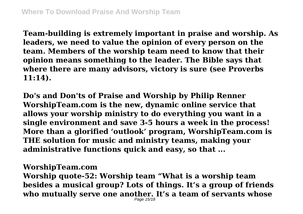**Team-building is extremely important in praise and worship. As leaders, we need to value the opinion of every person on the team. Members of the worship team need to know that their opinion means something to the leader. The Bible says that where there are many advisors, victory is sure (see Proverbs 11:14).**

**Do's and Don'ts of Praise and Worship by Philip Renner WorshipTeam.com is the new, dynamic online service that allows your worship ministry to do everything you want in a single environment and save 3-5 hours a week in the process! More than a glorified 'outlook' program, WorshipTeam.com is THE solution for music and ministry teams, making your administrative functions quick and easy, so that ...**

## **WorshipTeam.com**

**Worship quote-52: Worship team "What is a worship team besides a musical group? Lots of things. It's a group of friends who mutually serve one another. It's a team of servants whose**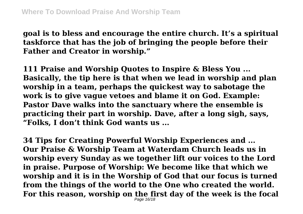**goal is to bless and encourage the entire church. It's a spiritual taskforce that has the job of bringing the people before their Father and Creator in worship."**

**111 Praise and Worship Quotes to Inspire & Bless You ... Basically, the tip here is that when we lead in worship and plan worship in a team, perhaps the quickest way to sabotage the work is to give vague vetoes and blame it on God. Example: Pastor Dave walks into the sanctuary where the ensemble is practicing their part in worship. Dave, after a long sigh, says, "Folks, I don't think God wants us ...**

**34 Tips for Creating Powerful Worship Experiences and ... Our Praise & Worship Team at Waterdam Church leads us in worship every Sunday as we together lift our voices to the Lord in praise. Purpose of Worship: We become like that which we worship and it is in the Worship of God that our focus is turned from the things of the world to the One who created the world. For this reason, worship on the first day of the week is the focal** Page 16/18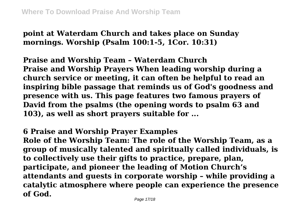**point at Waterdam Church and takes place on Sunday mornings. Worship (Psalm 100:1-5, 1Cor. 10:31)**

**Praise and Worship Team – Waterdam Church Praise and Worship Prayers When leading worship during a church service or meeting, it can often be helpful to read an inspiring bible passage that reminds us of God's goodness and presence with us. This page features two famous prayers of David from the psalms (the opening words to psalm 63 and 103), as well as short prayers suitable for ...**

**6 Praise and Worship Prayer Examples**

**Role of the Worship Team: The role of the Worship Team, as a group of musically talented and spiritually called individuals, is to collectively use their gifts to practice, prepare, plan, participate, and pioneer the leading of Motion Church's attendants and guests in corporate worship – while providing a catalytic atmosphere where people can experience the presence of God.**